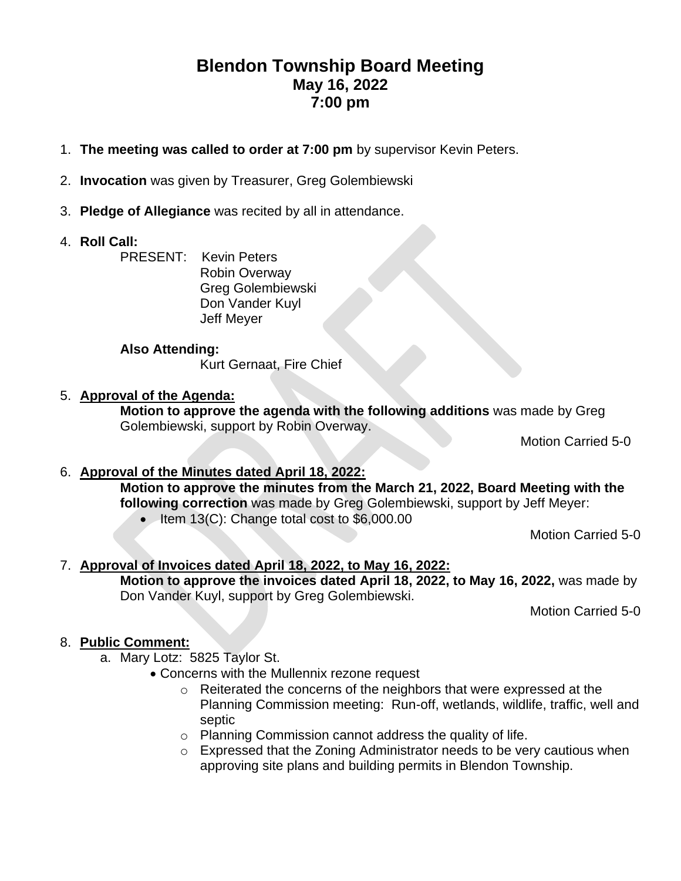## **Blendon Township Board Meeting May 16, 2022 7:00 pm**

- 1. **The meeting was called to order at 7:00 pm** by supervisor Kevin Peters.
- 2. **Invocation** was given by Treasurer, Greg Golembiewski
- 3. **Pledge of Allegiance** was recited by all in attendance.
- 4. **Roll Call:**

PRESENT: Kevin Peters Robin Overway Greg Golembiewski Don Vander Kuyl Jeff Meyer

#### **Also Attending:**

Kurt Gernaat, Fire Chief

### 5. **Approval of the Agenda:**

**Motion to approve the agenda with the following additions** was made by Greg Golembiewski, support by Robin Overway.

Motion Carried 5-0

#### 6. **Approval of the Minutes dated April 18, 2022: Motion to approve the minutes from the March 21, 2022, Board Meeting with the following correction** was made by Greg Golembiewski, support by Jeff Meyer: • Item 13(C): Change total cost to \$6,000.00

Motion Carried 5-0

## 7. **Approval of Invoices dated April 18, 2022, to May 16, 2022: Motion to approve the invoices dated April 18, 2022, to May 16, 2022,** was made by

Don Vander Kuyl, support by Greg Golembiewski.

Motion Carried 5-0

#### 8. **Public Comment:**

- a. Mary Lotz: 5825 Taylor St.
	- Concerns with the Mullennix rezone request
		- o Reiterated the concerns of the neighbors that were expressed at the Planning Commission meeting: Run-off, wetlands, wildlife, traffic, well and septic
		- o Planning Commission cannot address the quality of life.
		- o Expressed that the Zoning Administrator needs to be very cautious when approving site plans and building permits in Blendon Township.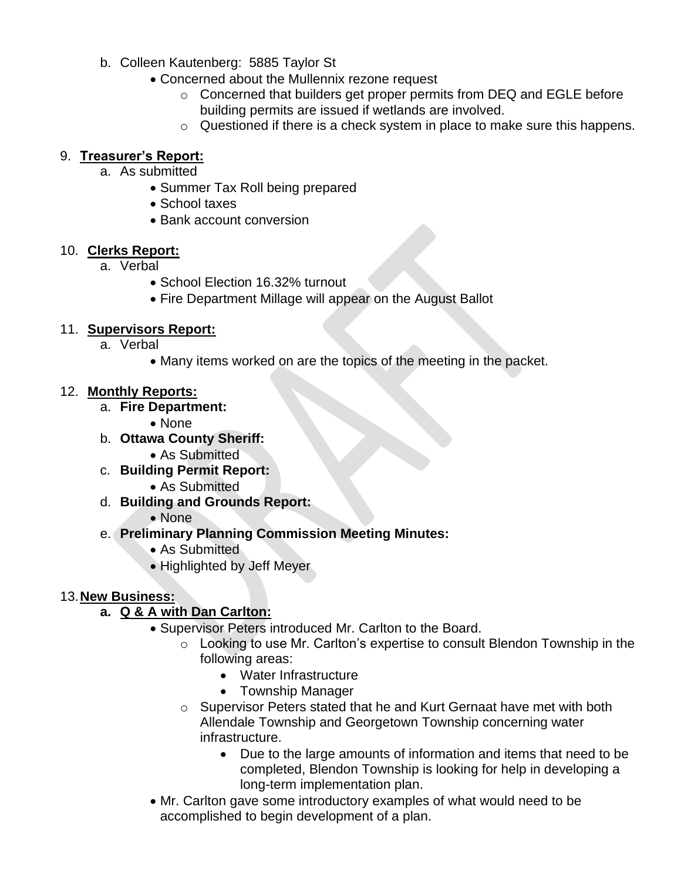- b. Colleen Kautenberg: 5885 Taylor St
	- Concerned about the Mullennix rezone request
		- o Concerned that builders get proper permits from DEQ and EGLE before building permits are issued if wetlands are involved.
		- o Questioned if there is a check system in place to make sure this happens.

#### 9. **Treasurer's Report:**

- a. As submitted
	- Summer Tax Roll being prepared
	- School taxes
	- Bank account conversion

#### 10. **Clerks Report:**

- a. Verbal
	- School Election 16.32% turnout
	- Fire Department Millage will appear on the August Ballot

### 11. **Supervisors Report:**

- a. Verbal
	- Many items worked on are the topics of the meeting in the packet.

#### 12. **Monthly Reports:**

- a. **Fire Department:** 
	- None
- b. **Ottawa County Sheriff:**
	- As Submitted
- c. **Building Permit Report:**
	- As Submitted
- d. **Building and Grounds Report:**
	- None
- e. **Preliminary Planning Commission Meeting Minutes:**
	- As Submitted
	- Highlighted by Jeff Meyer

#### 13.**New Business:**

## **a. Q & A with Dan Carlton:**

- Supervisor Peters introduced Mr. Carlton to the Board.
	- o Looking to use Mr. Carlton's expertise to consult Blendon Township in the following areas:
		- Water Infrastructure
		- Township Manager
	- o Supervisor Peters stated that he and Kurt Gernaat have met with both Allendale Township and Georgetown Township concerning water infrastructure.
		- Due to the large amounts of information and items that need to be completed, Blendon Township is looking for help in developing a long-term implementation plan.
- Mr. Carlton gave some introductory examples of what would need to be accomplished to begin development of a plan.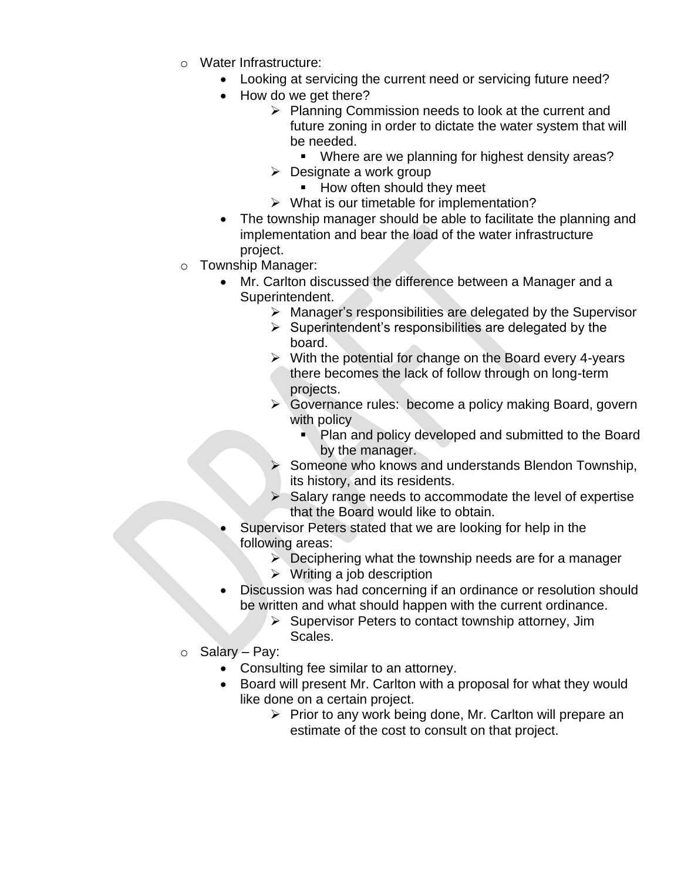- o Water Infrastructure:
	- Looking at servicing the current need or servicing future need?
	- How do we get there?
		- ➢ Planning Commission needs to look at the current and future zoning in order to dictate the water system that will be needed.
			- Where are we planning for highest density areas?
		- $\triangleright$  Designate a work group
			- How often should they meet
		- $\triangleright$  What is our timetable for implementation?
	- The township manager should be able to facilitate the planning and implementation and bear the load of the water infrastructure project.
- o Township Manager:
	- Mr. Carlton discussed the difference between a Manager and a Superintendent.
		- ➢ Manager's responsibilities are delegated by the Supervisor
		- $\triangleright$  Superintendent's responsibilities are delegated by the board.
		- ➢ With the potential for change on the Board every 4-years there becomes the lack of follow through on long-term projects.
		- ➢ Governance rules: become a policy making Board, govern with policy
			- Plan and policy developed and submitted to the Board by the manager.
		- Someone who knows and understands Blendon Township, its history, and its residents.
		- $\triangleright$  Salary range needs to accommodate the level of expertise that the Board would like to obtain.
	- Supervisor Peters stated that we are looking for help in the following areas:
		- $\triangleright$  Deciphering what the township needs are for a manager
		- $\triangleright$  Writing a job description
	- Discussion was had concerning if an ordinance or resolution should be written and what should happen with the current ordinance.
		- ➢ Supervisor Peters to contact township attorney, Jim Scales.
- o Salary Pay:
	- Consulting fee similar to an attorney.
	- Board will present Mr. Carlton with a proposal for what they would like done on a certain project.
		- ➢ Prior to any work being done, Mr. Carlton will prepare an estimate of the cost to consult on that project.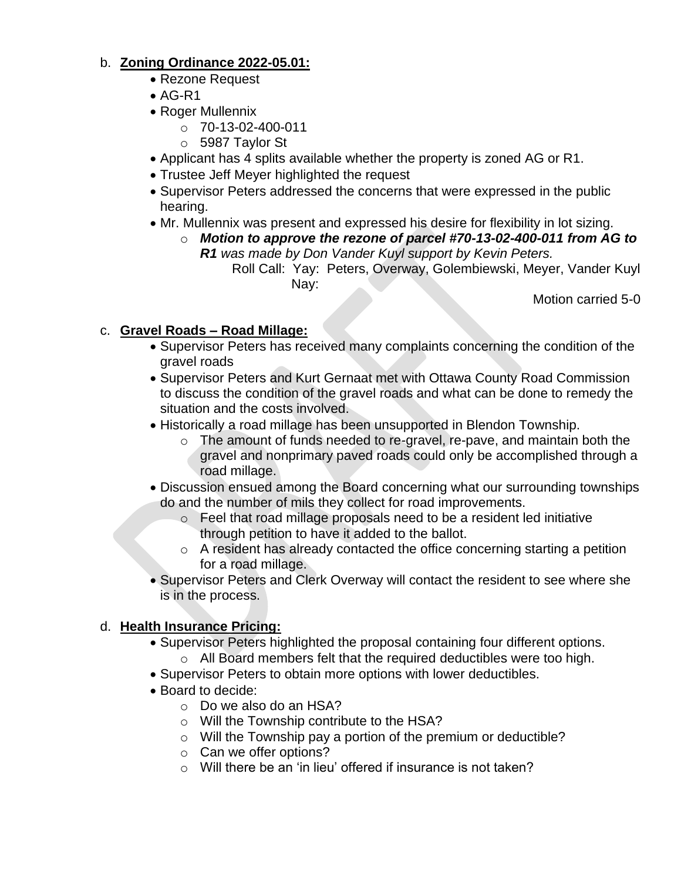## b. **Zoning Ordinance 2022-05.01:**

- Rezone Request
- $\bullet$  AG-R1
- Roger Mullennix
	- o 70-13-02-400-011
	- o 5987 Taylor St
- Applicant has 4 splits available whether the property is zoned AG or R1.
- Trustee Jeff Meyer highlighted the request
- Supervisor Peters addressed the concerns that were expressed in the public hearing.
- Mr. Mullennix was present and expressed his desire for flexibility in lot sizing.
	- o *Motion to approve the rezone of parcel #70-13-02-400-011 from AG to R1 was made by Don Vander Kuyl support by Kevin Peters.*
		- Roll Call: Yay: Peters, Overway, Golembiewski, Meyer, Vander Kuyl Nay:

Motion carried 5-0

## c. **Gravel Roads – Road Millage:**

- Supervisor Peters has received many complaints concerning the condition of the gravel roads
- Supervisor Peters and Kurt Gernaat met with Ottawa County Road Commission to discuss the condition of the gravel roads and what can be done to remedy the situation and the costs involved.
- Historically a road millage has been unsupported in Blendon Township.
	- o The amount of funds needed to re-gravel, re-pave, and maintain both the gravel and nonprimary paved roads could only be accomplished through a road millage.
- Discussion ensued among the Board concerning what our surrounding townships do and the number of mils they collect for road improvements.
	- o Feel that road millage proposals need to be a resident led initiative through petition to have it added to the ballot.
	- $\circ$  A resident has already contacted the office concerning starting a petition for a road millage.
- Supervisor Peters and Clerk Overway will contact the resident to see where she is in the process.

## d. **Health Insurance Pricing:**

- Supervisor Peters highlighted the proposal containing four different options. o All Board members felt that the required deductibles were too high.
- Supervisor Peters to obtain more options with lower deductibles.
- Board to decide:
	- o Do we also do an HSA?
	- o Will the Township contribute to the HSA?
	- o Will the Township pay a portion of the premium or deductible?
	- o Can we offer options?
	- $\circ$  Will there be an 'in lieu' offered if insurance is not taken?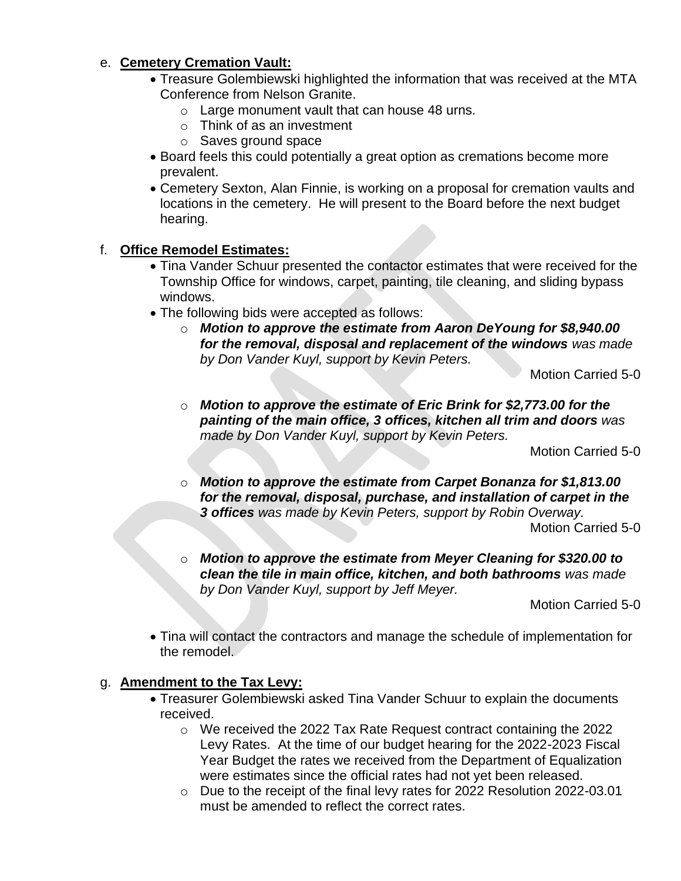### e. **Cemetery Cremation Vault:**

- Treasure Golembiewski highlighted the information that was received at the MTA Conference from Nelson Granite.
	- o Large monument vault that can house 48 urns.
	- o Think of as an investment
	- o Saves ground space
- Board feels this could potentially a great option as cremations become more prevalent.
- Cemetery Sexton, Alan Finnie, is working on a proposal for cremation vaults and locations in the cemetery. He will present to the Board before the next budget hearing.

## f. **Office Remodel Estimates:**

- Tina Vander Schuur presented the contactor estimates that were received for the Township Office for windows, carpet, painting, tile cleaning, and sliding bypass windows.
- The following bids were accepted as follows:
	- o *Motion to approve the estimate from Aaron DeYoung for \$8,940.00 for the removal, disposal and replacement of the windows was made by Don Vander Kuyl, support by Kevin Peters.*

Motion Carried 5-0

o *Motion to approve the estimate of Eric Brink for \$2,773.00 for the painting of the main office, 3 offices, kitchen all trim and doors was made by Don Vander Kuyl, support by Kevin Peters.*

Motion Carried 5-0

- o *Motion to approve the estimate from Carpet Bonanza for \$1,813.00 for the removal, disposal, purchase, and installation of carpet in the 3 offices was made by Kevin Peters, support by Robin Overway.* Motion Carried 5-0
- o *Motion to approve the estimate from Meyer Cleaning for \$320.00 to clean the tile in main office, kitchen, and both bathrooms was made by Don Vander Kuyl, support by Jeff Meyer.*

Motion Carried 5-0

• Tina will contact the contractors and manage the schedule of implementation for the remodel.

#### g. **Amendment to the Tax Levy:**

- Treasurer Golembiewski asked Tina Vander Schuur to explain the documents received.
	- o We received the 2022 Tax Rate Request contract containing the 2022 Levy Rates. At the time of our budget hearing for the 2022-2023 Fiscal Year Budget the rates we received from the Department of Equalization were estimates since the official rates had not yet been released.
	- o Due to the receipt of the final levy rates for 2022 Resolution 2022-03.01 must be amended to reflect the correct rates.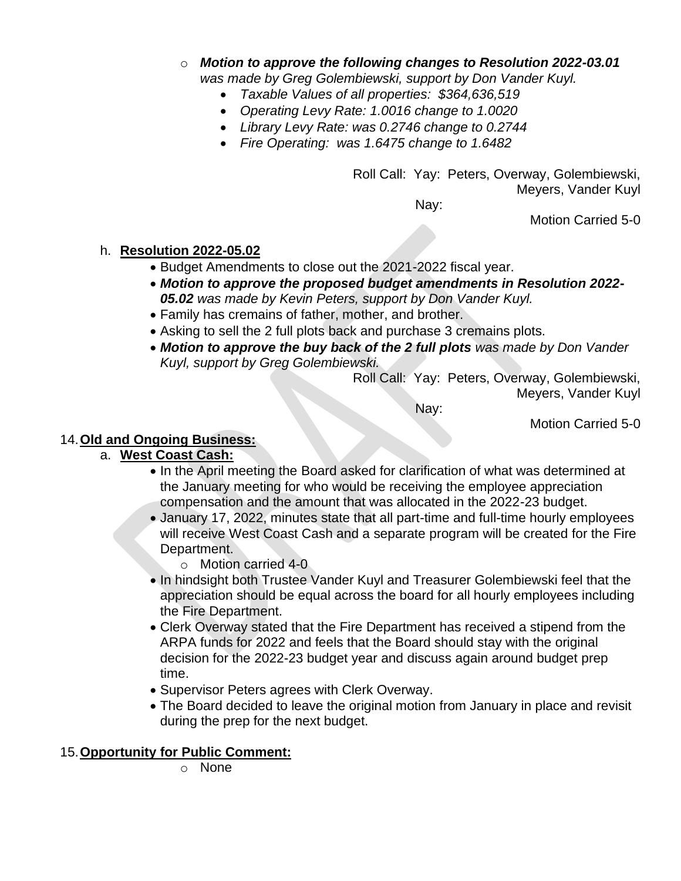- o *Motion to approve the following changes to Resolution 2022-03.01 was made by Greg Golembiewski, support by Don Vander Kuyl.*
	- *Taxable Values of all properties: \$364,636,519*
		- *Operating Levy Rate: 1.0016 change to 1.0020*
		-
		- *Library Levy Rate: was 0.2746 change to 0.2744*
		- *Fire Operating: was 1.6475 change to 1.6482*

Roll Call: Yay: Peters, Overway, Golembiewski, Meyers, Vander Kuyl

Nay:

Motion Carried 5-0

## h. **Resolution 2022-05.02**

- Budget Amendments to close out the 2021-2022 fiscal year.
- *Motion to approve the proposed budget amendments in Resolution 2022- 05.02 was made by Kevin Peters, support by Don Vander Kuyl.*
- Family has cremains of father, mother, and brother.
- Asking to sell the 2 full plots back and purchase 3 cremains plots.
- *Motion to approve the buy back of the 2 full plots was made by Don Vander Kuyl, support by Greg Golembiewski.*

Roll Call: Yay: Peters, Overway, Golembiewski, Meyers, Vander Kuyl

Nay:

Motion Carried 5-0

## 14.**Old and Ongoing Business:**

## a. **West Coast Cash:**

- In the April meeting the Board asked for clarification of what was determined at the January meeting for who would be receiving the employee appreciation compensation and the amount that was allocated in the 2022-23 budget.
- January 17, 2022, minutes state that all part-time and full-time hourly employees will receive West Coast Cash and a separate program will be created for the Fire Department.
	- o Motion carried 4-0
- In hindsight both Trustee Vander Kuyl and Treasurer Golembiewski feel that the appreciation should be equal across the board for all hourly employees including the Fire Department.
- Clerk Overway stated that the Fire Department has received a stipend from the ARPA funds for 2022 and feels that the Board should stay with the original decision for the 2022-23 budget year and discuss again around budget prep time.
- Supervisor Peters agrees with Clerk Overway.
- The Board decided to leave the original motion from January in place and revisit during the prep for the next budget.

## 15.**Opportunity for Public Comment:**

o None